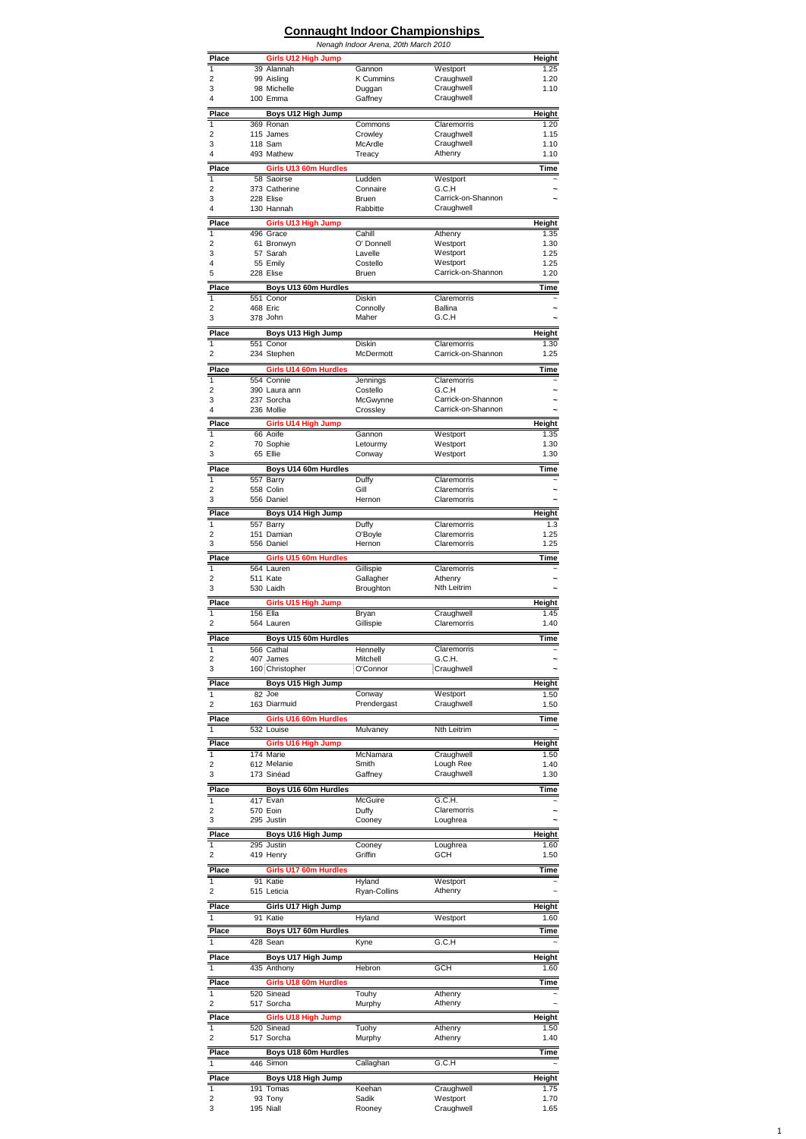## **Connaught Indoor Championships**

|                         |                                               | Nenagh Indoor Arena, 20th March 2010 |                                          |                |
|-------------------------|-----------------------------------------------|--------------------------------------|------------------------------------------|----------------|
| Place<br>1              | Girls U12 High Jump                           |                                      | Westport                                 | Height         |
| $\overline{2}$          | 39 Alannah<br>99 Aisling                      | Gannon<br><b>K</b> Cummins           | Craughwell                               | 1.25<br>1.20   |
| 3                       | 98 Michelle                                   | Duggan                               | Craughwell                               | 1.10           |
| 4                       | 100 Emma                                      | Gaffney                              | Craughwell                               |                |
| Place                   | Boys U12 High Jump<br>369 Ronan               |                                      | Claremorris                              | Height         |
| 1<br>$\overline{2}$     | 115 James                                     | Commons<br>Crowley                   | Craughwell                               | 1.20<br>1.15   |
| 3                       | 118 Sam                                       | McArdle                              | Craughwell                               | 1.10           |
| 4                       | 493 Mathew                                    | Treacy                               | Athenry                                  | 1.10           |
| Place                   | Girls U13 60m Hurdles                         |                                      | Westport                                 | Time           |
| 1<br>2                  | 58 Saoirse<br>373 Catherine                   | Ludden<br>Connaire                   | G.C.H                                    | ~              |
| 3                       | 228 Elise                                     | Bruen                                | Carrick-on-Shannon                       |                |
| 4                       | 130 Hannah                                    | Rabbitte                             | Craughwell                               |                |
| Place                   | Girls U13 High Jump                           |                                      | Athenry                                  | Height         |
| 1<br>2                  | 496 Grace<br>61 Bronwyn                       | Cahill<br>O' Donnell                 | Westport                                 | 1.35<br>1.30   |
| 3                       | 57 Sarah                                      | Lavelle                              | Westport                                 | 1.25           |
| 4<br>5                  | 55 Emily<br>228 Elise                         | Costello<br>Bruen                    | Westport<br>Carrick-on-Shannon           | 1.25<br>1.20   |
| Place                   |                                               |                                      |                                          | Time           |
| 1                       | Boys U13 60m Hurdles<br>551 Conor             | Diskin                               | Claremorris                              |                |
| 2                       | 468 Eric                                      | Connolly                             | Ballina                                  |                |
| 3                       | 378 John                                      | Maher                                | G.C.H                                    |                |
| Place                   | Boys U13 High Jump                            |                                      |                                          | Height         |
| 1<br>$\overline{2}$     | 551 Conor<br>234 Stephen                      | <b>Diskin</b><br>McDermott           | Claremorris<br>Carrick-on-Shannon        | 1.30<br>1.25   |
|                         |                                               |                                      |                                          |                |
| Place<br>1              | Girls U14 60m Hurdles<br>554 Connie           | Jennings                             | Claremorris                              | Time           |
| 2                       | 390 Laura ann                                 | Costello                             | G.C.H                                    |                |
| 3<br>4                  | 237 Sorcha<br>236 Mollie                      | McGwynne                             | Carrick-on-Shannon<br>Carrick-on-Shannon |                |
| Place                   |                                               | Crossley                             |                                          |                |
| 1                       | Girls U14 High Jump<br>66 Aoife               | Gannon                               | Westport                                 | Height<br>1.35 |
| $\overline{2}$          | 70 Sophie                                     | Letourmy                             | Westport                                 | 1.30           |
| 3                       | 65 Ellie                                      | Conway                               | Westport                                 | 1.30           |
| Place                   | Boys U14 60m Hurdles                          |                                      |                                          | Time           |
| 1<br>$\overline{2}$     | 557 Barry<br>558 Colin                        | Duffy<br>Gill                        | Claremorris<br>Claremorris               | ∼              |
| 3                       | 556 Daniel                                    | Hernon                               | Claremorris                              |                |
| Place                   | Boys U14 High Jump                            |                                      |                                          | Height         |
| 1                       | 557 Barry                                     | Duffy                                | Claremorris                              | 1.3            |
| $\overline{2}$<br>3     | 151 Damian<br>556 Daniel                      | O'Boyle<br>Hernon                    | Claremorris<br>Claremorris               | 1.25<br>1.25   |
| Place                   |                                               |                                      |                                          |                |
| 1                       | Girls U15 60m Hurdles<br>564 Lauren           | Gillispie                            | Claremorris                              | Time           |
| 2                       | 511 Kate                                      | Gallagher                            | Athenry                                  |                |
| 3                       | 530 Laidh                                     | Broughton                            | Nth Leitrim                              |                |
| Place                   | Girls U15 High Jump                           |                                      |                                          | Height         |
| 1<br>$\overline{2}$     | 156 Ella<br>564 Lauren                        | Bryan<br>Gillispie                   | Craughwell<br>Claremorris                | 1.45<br>1.40   |
| Place                   | Boys U15 60m Hurdles                          |                                      |                                          | Time           |
| 1                       | 566 Cathal                                    | Hennelly                             | Claremorris                              |                |
| 2                       | 407 James                                     | Mitchell                             | G.C.H.                                   | ~              |
| 3                       | 160 Christopher                               | O'Connor                             | Craughwell                               |                |
| Place                   | Boys U15 High Jump                            |                                      |                                          | Height         |
| 1<br>2                  | 82 Joe<br>163 Diarmuid                        | Conway<br>Prendergast                | Westport<br>Craughwell                   | 1.50<br>1.50   |
| Place                   | Girls U16 60m Hurdles                         |                                      |                                          | Time           |
| 1                       | 532 Louise                                    | Mulvaney                             | Nth Leitrim                              |                |
| Place                   | Girls U16 High Jump                           |                                      |                                          | Height         |
| 1                       | 174 Marie                                     | McNamara                             | Craughwell                               | 1.50           |
| $\overline{2}$          | 612 Melanie                                   | Smith                                | Lough Ree                                | 1.40           |
| 3                       | 173 Sinéad                                    | Gaffney                              | Craughwell                               | 1.30           |
| Place                   | Boys U16 60m Hurdles<br>$\overline{417}$ Evan | McGuire                              |                                          | Time           |
| 1<br>2                  | 570 Eoin                                      | Duffy                                | G.C.H.<br>Claremorris                    | ~              |
| 3                       | 295 Justin                                    | Cooney                               | Loughrea                                 | ∼              |
| Place                   | Boys U16 High Jump                            |                                      |                                          | Height         |
| 1                       | 295 Justin                                    | Cooney                               | Loughrea                                 | 1.60           |
| 2                       | 419 Henry                                     | Griffin                              | <b>GCH</b>                               | 1.50           |
| Place<br>1              | Girls U17 60m Hurdles<br>91 Katie             |                                      | Westport                                 | Time           |
| $\overline{2}$          | 515 Leticia                                   | Hyland<br>Ryan-Collins               | Athenry                                  |                |
| Place                   | Girls U17 High Jump                           |                                      |                                          | Height         |
|                         | 91 Katie                                      | <b>Hyland</b>                        | Westport                                 | 1.60           |
| Place                   | Boys U17 60m Hurdles                          |                                      |                                          | Time           |
|                         | 428 Sean                                      | Kyne                                 | G.C.H                                    |                |
| <b>Place</b>            | Boys U17 High Jump                            |                                      |                                          | Height         |
|                         | 435 Anthony                                   | Hebron                               | GCH                                      | 1.60           |
| <b>Place</b>            | Girls U18 60m Hurdles                         |                                      |                                          | Time           |
| 1                       | 520 Sinead                                    | Touhy                                | Athenry                                  |                |
| 2                       | 517 Sorcha                                    | Murphy                               | Athenry                                  |                |
| Place<br>1              | Girls U18 High Jump<br>520 Sinead             | Tuohy                                | Athenry                                  | Height<br>1.50 |
| 2                       | 517 Sorcha                                    | Murphy                               | Athenry                                  | 1.40           |
| Place                   | Boys U18 60m Hurdles                          |                                      |                                          | Time           |
| 1                       | 446 Simon                                     | Callaghan                            | G.C.H                                    |                |
| Place                   | Boys U18 High Jump                            |                                      |                                          | Height         |
| 1                       | 191 Tomas                                     | Keehan                               | Craughwell                               | 1.75           |
| $\overline{\mathbf{c}}$ | 93 Tony                                       | Sadik                                | Westport                                 | 1.70           |
| 3                       | 195 Niall                                     | Rooney                               | Craughwell                               | 1.65           |